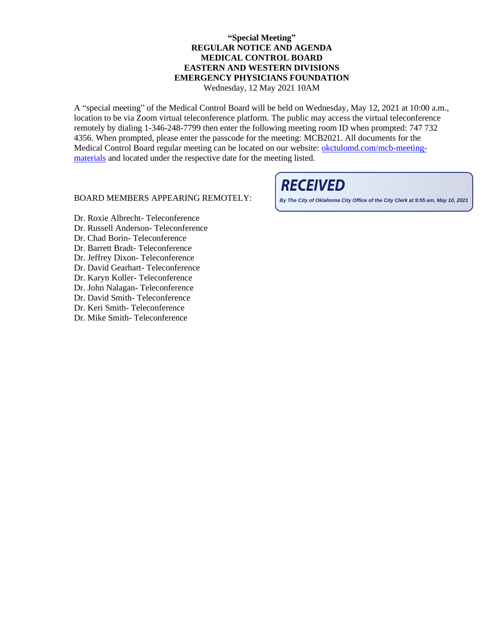## **"Special Meeting" REGULAR NOTICE AND AGENDA MEDICAL CONTROL BOARD EASTERN AND WESTERN DIVISIONS EMERGENCY PHYSICIANS FOUNDATION**

Wednesday, 12 May 2021 10AM

A "special meeting" of the Medical Control Board will be held on Wednesday, May 12, 2021 at 10:00 a.m., location to be via Zoom virtual teleconference platform. The public may access the virtual teleconference remotely by dialing 1-346-248-7799 then enter the following meeting room ID when prompted: 747 732 4356. When prompted, please enter the passcode for the meeting: MCB2021. All documents for the Medical Control Board regular meeting can be located on our website: [okctulomd.com/mcb-meeting](file://///EMSACIFS/MEDICALD/MCB_OMD_MEETINGS/MCB%20MEETINGS/2021/March%202021/okctulomd.com/mcb-meeting-materials)[materials](file://///EMSACIFS/MEDICALD/MCB_OMD_MEETINGS/MCB%20MEETINGS/2021/March%202021/okctulomd.com/mcb-meeting-materials) and located under the respective date for the meeting listed.

## BOARD MEMBERS APPEARING REMOTELY:

## **RECEIVED**

**By The City of Oklahoma City Office of the City Clerk at 9:55 am, May 10, 2021**

- Dr. Roxie Albrecht- Teleconference
- Dr. Russell Anderson- Teleconference
- Dr. Chad Borin- Teleconference
- Dr. Barrett Bradt- Teleconference
- Dr. Jeffrey Dixon- Teleconference
- Dr. David Gearhart- Teleconference
- Dr. Karyn Koller- Teleconference
- Dr. John Nalagan- Teleconference
- Dr. David Smith- Teleconference
- Dr. Keri Smith- Teleconference
- Dr. Mike Smith- Teleconference